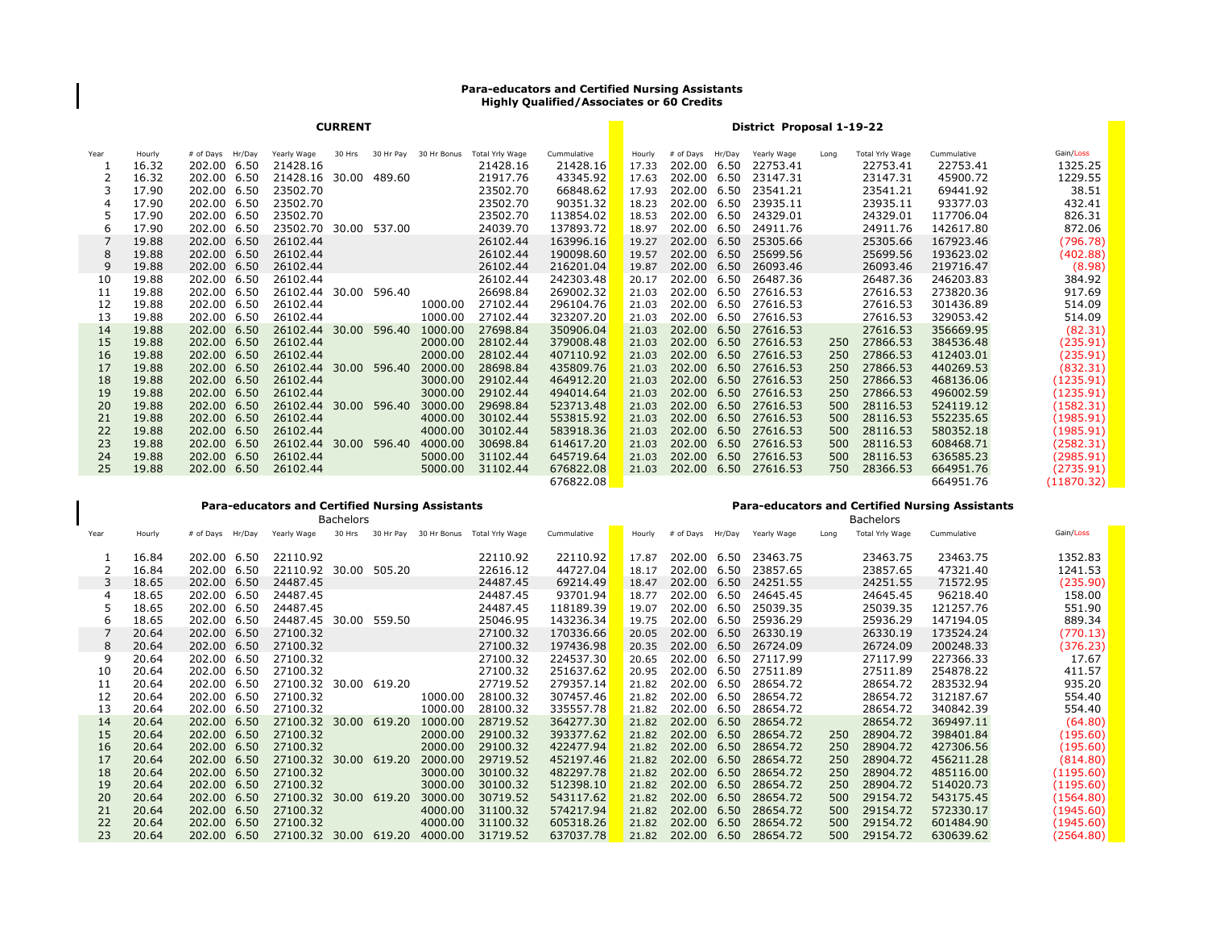## **Para-educators and Certified Nursing Assistants Highly Qualified/Associates or 60 Credits**

| <b>CURRENT</b> |        |                  |                       |        |        |                       |                 |             | District Proposal 1-19-22 |             |        |                      |      |                 |             |            |
|----------------|--------|------------------|-----------------------|--------|--------|-----------------------|-----------------|-------------|---------------------------|-------------|--------|----------------------|------|-----------------|-------------|------------|
| Year           | Hourly | # of Days Hr/Day | Yearly Wage           | 30 Hrs |        | 30 Hr Pay 30 Hr Bonus | Total Yrly Wage | Cummulative | Hourly                    | # of Days   | Hr/Day | Yearly Wage          | Long | Total Yrly Wage | Cummulative | Gain/Loss  |
|                | 16.32  | 202.00 6.50      | 21428.16              |        |        |                       | 21428.16        | 21428.16    | 17.33                     | 202.00 6.50 |        | 22753.41             |      | 22753.41        | 22753.41    | 1325.25    |
|                | 16.32  | 202.00 6.50      | 21428.16 30.00 489.60 |        |        |                       | 21917.76        | 43345.92    | 17.63                     | 202.00 6.50 |        | 23147.31             |      | 23147.31        | 45900.72    | 1229.55    |
|                | 17.90  | 202.00 6.50      | 23502.70              |        |        |                       | 23502.70        | 66848.62    | 17.93                     | 202.00 6.50 |        | 23541.21             |      | 23541.21        | 69441.92    | 38.51      |
| 4              | 17.90  | 202.00 6.50      | 23502.70              |        |        |                       | 23502.70        | 90351.32    | 18.23                     | 202.00 6.50 |        | 23935.11             |      | 23935.11        | 93377.03    | 432.41     |
| 5              | 17.90  | 202.00 6.50      | 23502.70              |        |        |                       | 23502.70        | 113854.02   | 18.53                     | 202.00 6.50 |        | 24329.01             |      | 24329.01        | 117706.04   | 826.31     |
| 6              | 17.90  | 202.00 6.50      | 23502.70 30.00 537.00 |        |        |                       | 24039.70        | 137893.72   | 18.97                     | 202.00 6.50 |        | 24911.76             |      | 24911.76        | 142617.80   | 872.06     |
|                | 19.88  | 202.00 6.50      | 26102.44              |        |        |                       | 26102.44        | 163996.16   | 19.27                     | 202.00 6.50 |        | 25305.66             |      | 25305.66        | 167923.46   | (796.78)   |
| 8              | 19.88  | 202.00 6.50      | 26102.44              |        |        |                       | 26102.44        | 190098.60   | 19.57                     | 202.00 6.50 |        | 25699.56             |      | 25699.56        | 193623.02   | (402.88)   |
| 9              | 19.88  | 202.00 6.50      | 26102.44              |        |        |                       | 26102.44        | 216201.04   | 19.87                     | 202.00 6.50 |        | 26093.46             |      | 26093.46        | 219716.47   | (8.98)     |
| 10             | 19.88  | 202.00 6.50      | 26102.44              |        |        |                       | 26102.44        | 242303.48   | 20.17                     | 202.00 6.50 |        | 26487.36             |      | 26487.36        | 246203.83   | 384.92     |
| 11             | 19.88  | 202.00 6.50      | 26102.44 30.00 596.40 |        |        |                       | 26698.84        | 269002.32   | 21.03                     | 202.00 6.50 |        | 27616.53             |      | 27616.53        | 273820.36   | 917.69     |
| 12             | 19.88  | 202.00 6.50      | 26102.44              |        |        | 1000.00               | 27102.44        | 296104.76   | 21.03                     | 202.00 6.50 |        | 27616.53             |      | 27616.53        | 301436.89   | 514.09     |
| 13             | 19.88  | 202.00 6.50      | 26102.44              |        |        | 1000.00               | 27102.44        | 323207.20   | 21.03                     | 202.00 6.50 |        | 27616.53             |      | 27616.53        | 329053.42   | 514.09     |
| 14             | 19.88  | 202.00 6.50      | 26102.44 30.00        |        | 596.40 | 1000.00               | 27698.84        | 350906.04   | 21.03                     | 202.00 6.50 |        | 27616.53             |      | 27616.53        | 356669.95   | (82.31)    |
| 15             | 19.88  | 202.00 6.50      | 26102.44              |        |        | 2000.00               | 28102.44        | 379008.48   | 21.03                     |             |        | 202.00 6.50 27616.53 | 250  | 27866.53        | 384536.48   | (235.91)   |
| 16             | 19.88  | 202.00 6.50      | 26102.44              |        |        | 2000.00               | 28102.44        | 407110.92   | 21.03                     | 202.00 6.50 |        | 27616.53             | 250  | 27866.53        | 412403.01   | (235.91)   |
| 17             | 19.88  | 202.00 6.50      | 26102.44 30.00        |        | 596.40 | 2000.00               | 28698.84        | 435809.76   | 21.03                     | 202.00 6.50 |        | 27616.53             | 250  | 27866.53        | 440269.53   | (832.31)   |
| 18             | 19.88  | 202.00 6.50      | 26102.44              |        |        | 3000.00               | 29102.44        | 464912.20   | 21.03                     | 202.00 6.50 |        | 27616.53             | 250  | 27866.53        | 468136.06   | (1235.91)  |
| 19             | 19.88  | 202.00 6.50      | 26102.44              |        |        | 3000.00               | 29102.44        | 494014.64   | 21.03                     | 202.00 6.50 |        | 27616.53             | 250  | 27866.53        | 496002.59   | (1235.91)  |
| 20             | 19.88  | 202.00 6.50      | 26102.44 30.00        |        | 596.40 | 3000.00               | 29698.84        | 523713.48   | 21.03                     | 202.00 6.50 |        | 27616.53             | 500  | 28116.53        | 524119.12   | (1582.31)  |
| 21             | 19.88  | 202.00 6.50      | 26102.44              |        |        | 4000.00               | 30102.44        | 553815.92   | 21.03                     | 202.00 6.50 |        | 27616.53             | 500  | 28116.53        | 552235.65   | (1985.91)  |
| 22             | 19.88  | 202.00 6.50      | 26102.44              |        |        | 4000.00               | 30102.44        | 583918.36   | 21.03                     | 202.00 6.50 |        | 27616.53             | 500  | 28116.53        | 580352.18   | (1985.91)  |
| 23             | 19.88  | 202.00 6.50      | 26102.44 30.00        |        | 596.40 | 4000.00               | 30698.84        | 614617.20   | 21.03                     | 202.00 6.50 |        | 27616.53             | 500  | 28116.53        | 608468.71   | (2582.31)  |
| 24             | 19.88  | 202.00 6.50      | 26102.44              |        |        | 5000.00               | 31102.44        | 645719.64   | 21.03                     | 202.00 6.50 |        | 27616.53             | 500  | 28116.53        | 636585.23   | (2985.91)  |
| 25             | 19.88  | 202.00 6.50      | 26102.44              |        |        | 5000.00               | 31102.44        | 676822.08   | 21.03                     |             |        | 202.00 6.50 27616.53 | 750  | 28366.53        | 664951.76   | (2735.91)  |
|                |        |                  |                       |        |        |                       |                 | 676822.08   |                           |             |        |                      |      |                 | 664951.76   | (11870.32) |

## **Para-educators and Certified Nursing Assistants**

Year Hourly # of Days Hr/Day Yearly Wage 30 Hrs 30 Hr Pay 30 Hr Bonus Total Yrly Wage Cummulative Hourly # of Days Hr/Day Yearly Wage Long Total Yrly Wage Cummulative Gain/Loss 16.84 202.00 6.50 22110.92 22110.92 22110.92 17.87 202.00 6.50 23463.75 23463.75 23463.75 1352.83 16.84 202.00 6.50 22110.92 30.00 505.20 22616.12 44727.04 18.17 202.00 6.50 23857.65 23857.65 47321.40 1241.53 18.65 202.00 6.50 24487.45 24487.45 69214.49 18.47 202.00 6.50 24251.55 24251.55 71572.95 (235.90) 18.65 202.00 6.50 24487.45 24487.45 93701.94 18.77 202.00 6.50 24645.45 24645.45 96218.40 158.00 18.65 202.00 6.50 24487.45 24487.45 118189.39 19.07 202.00 6.50 25039.35 25039.35 121257.76 551.90 18.65 202.00 6.50 24487.45 30.00 559.50 25046.95 143236.34 19.75 202.00 6.50 25936.29 25936.29 147194.05 889.34 20.64 202.00 6.50 27100.32 27100.32 170336.66 20.05 202.00 6.50 26330.19 26330.19 173524.24 (770.13) 20.64 202.00 6.50 27100.32 27100.32 197436.98 20.35 202.00 6.50 26724.09 26724.09 200248.33 (376.23) 20.64 202.00 6.50 27100.32 27100.32 224537.30 20.65 202.00 6.50 27117.99 27117.99 227366.33 17.67 20.64 202.00 6.50 27100.32 27100.32 251637.62 20.95 202.00 6.50 27511.89 27511.89 254878.22 411.57 20.64 202.00 6.50 27100.32 30.00 619.20 27719.52 279357.14 21.82 202.00 6.50 28654.72 28654.72 283532.94 935.20 20.64 202.00 6.50 27100.32 1000.00 28100.32 307457.46 21.82 202.00 6.50 28654.72 28654.72 312187.67 554.40 20.64 202.00 6.50 27100.32 1000.00 28100.32 335557.78 21.82 202.00 6.50 28654.72 28654.72 340842.39 554.40 20.64 202.00 6.50 27100.32 30.00 619.20 1000.00 28719.52 364277.30 21.82 202.00 6.50 28654.72 28654.72 369497.11 (64.80) 20.64 202.00 6.50 27100.32 2000.00 29100.32 393377.62 21.82 202.00 6.50 28654.72 250 28904.72 398401.84 (195.60) 20.64 202.00 6.50 27100.32 2000.00 29100.32 422477.94 21.82 202.00 6.50 28654.72 250 28904.72 427306.56 (195.60) 20.64 202.00 6.50 27100.32 30.00 619.20 2000.00 29719.52 452197.46 21.82 202.00 6.50 28654.72 250 28904.72 456211.28 (814.80) 20.64 202.00 6.50 27100.32 3000.00 30100.32 482297.78 21.82 202.00 6.50 28654.72 250 28904.72 485116.00 (1195.60) 20.64 202.00 6.50 27100.32 3000.00 30100.32 512398.10 21.82 202.00 6.50 28654.72 250 28904.72 514020.73 (1195.60) 20.64 202.00 6.50 27100.32 30.00 619.20 3000.00 30719.52 543117.62 21.82 202.00 6.50 28654.72 500 29154.72 543175.45 (1564.80) 20.64 202.00 6.50 27100.32 4000.00 31100.32 574217.94 21.82 202.00 6.50 28654.72 500 29154.72 572330.17 (1945.60) 20.64 202.00 6.50 27100.32 4000.00 31100.32 605318.26 21.82 202.00 6.50 28654.72 500 29154.72 601484.90 (1945.60) 20.64 202.00 6.50 27100.32 30.00 619.20 4000.00 31719.52 637037.78 21.82 202.00 6.50 28654.72 500 29154.72 630639.62 (2564.80) Bachelors Bachelors

**Para-educators and Certified Nursing Assistants**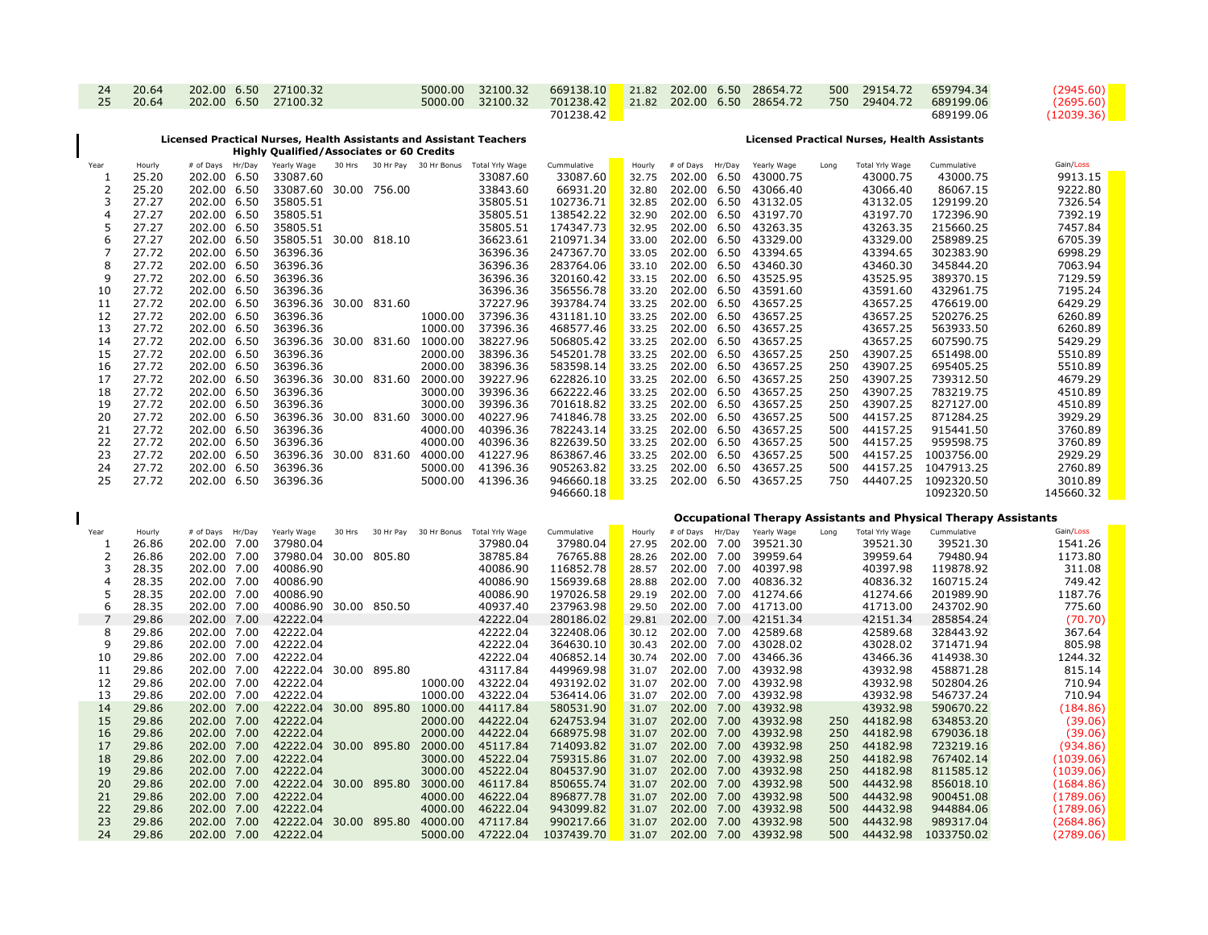| 24 | 20.64 | 202.00 6.50 27100.32 |  | 5000.00 32100.32 | 669138.10 21.82 202.00 6.50 28654.72                                         |  |  |  | 500 29154.72 659794.34 | (2945.60)  |
|----|-------|----------------------|--|------------------|------------------------------------------------------------------------------|--|--|--|------------------------|------------|
| 25 | 20.64 | 202.00 6.50 27100.32 |  |                  | 5000.00 32100.32 701238.42 21.82 202.00 6.50 28654.72 750 29404.72 689199.06 |  |  |  |                        | (2695.60)  |
|    |       |                      |  |                  | 701238.42                                                                    |  |  |  | 689199.06              | (12039.36) |

## **Licensed Practical Nurses, Health Assistants and Assistant Teachers Highly Qualified/Associates or 60 Credits**

 $\mathbf{I}$ 

## **Licensed Practical Nurses, Health Assistants**

| Year           | Hourly         | # of Days Hr/Day                    | Yearly Wage                            |  |         | 30 Hrs 30 Hr Pay 30 Hr Bonus Total Yrly Wage | Cummulative                              | Hourly | # of Days   | Hr/Day | Yearly Wage                                              | Long | Total Yrly Wage          | Cummulative                                                            | Gain/Loss              |
|----------------|----------------|-------------------------------------|----------------------------------------|--|---------|----------------------------------------------|------------------------------------------|--------|-------------|--------|----------------------------------------------------------|------|--------------------------|------------------------------------------------------------------------|------------------------|
| 1              | 25.20          | 202.00 6.50                         | 33087.60                               |  |         | 33087.60                                     | 33087.60                                 | 32.75  | 202.00 6.50 |        | 43000.75                                                 |      | 43000.75                 | 43000.75                                                               | 9913.15                |
| $\overline{2}$ | 25.20          | 202.00 6.50                         | 33087.60 30.00 756.00                  |  |         | 33843.60                                     | 66931.20                                 | 32.80  | 202.00 6.50 |        | 43066.40                                                 |      | 43066.40                 | 86067.15                                                               | 9222.80                |
| 3              | 27.27          | 202.00 6.50                         | 35805.51                               |  |         | 35805.51                                     | 102736.71                                | 32.85  |             |        | 202.00 6.50 43132.05                                     |      | 43132.05                 | 129199.20                                                              | 7326.54                |
| $\overline{4}$ | 27.27          | 202.00 6.50                         | 35805.51                               |  |         | 35805.51                                     | 138542.22                                | 32.90  | 202.00 6.50 |        | 43197.70                                                 |      | 43197.70                 | 172396.90                                                              | 7392.19                |
|                |                |                                     |                                        |  |         |                                              |                                          |        |             |        |                                                          |      |                          |                                                                        |                        |
| 5              | 27.27          | 202.00 6.50                         | 35805.51                               |  |         | 35805.51                                     | 174347.73                                | 32.95  |             |        | 202.00 6.50 43263.35                                     |      | 43263.35                 | 215660.25                                                              | 7457.84                |
| 6              | 27.27          | 202.00 6.50                         | 35805.51 30.00 818.10                  |  |         | 36623.61                                     | 210971.34                                | 33.00  | 202.00 6.50 |        | 43329.00                                                 |      | 43329.00                 | 258989.25                                                              | 6705.39                |
| 7              | 27.72          | 202.00 6.50                         | 36396.36                               |  |         | 36396.36                                     | 247367.70                                | 33.05  | 202.00 6.50 |        | 43394.65                                                 |      | 43394.65                 | 302383.90                                                              | 6998.29                |
| 8              | 27.72          | 202.00 6.50                         | 36396.36                               |  |         | 36396.36                                     | 283764.06                                | 33.10  |             |        | 202.00 6.50 43460.30                                     |      | 43460.30                 | 345844.20                                                              | 7063.94                |
| 9              | 27.72          | 202.00 6.50                         | 36396.36                               |  |         | 36396.36                                     | 320160.42                                | 33.15  |             |        | 202.00 6.50 43525.95                                     |      | 43525.95                 | 389370.15                                                              | 7129.59                |
| 10             | 27.72          | 202.00 6.50                         | 36396.36                               |  |         | 36396.36                                     | 356556.78                                | 33.20  |             |        | 202.00 6.50 43591.60                                     |      | 43591.60                 | 432961.75                                                              | 7195.24                |
| 11             | 27.72          | 202.00 6.50                         | 36396.36 30.00 831.60                  |  |         | 37227.96                                     | 393784.74                                | 33.25  | 202.00 6.50 |        | 43657.25                                                 |      | 43657.25                 | 476619.00                                                              | 6429.29                |
| 12             | 27.72          | 202.00 6.50                         | 36396.36                               |  |         | 1000.00 37396.36                             | 431181.10                                | 33.25  | 202.00 6.50 |        | 43657.25                                                 |      | 43657.25                 | 520276.25                                                              | 6260.89                |
|                |                | 202.00 6.50                         | 36396.36                               |  |         | 1000.00 37396.36                             | 468577.46                                |        |             |        |                                                          |      | 43657.25                 | 563933.50                                                              | 6260.89                |
| 13             | 27.72          |                                     |                                        |  |         |                                              |                                          | 33.25  |             |        | 202.00 6.50 43657.25                                     |      |                          |                                                                        |                        |
| 14             | 27.72          | 202.00 6.50                         |                                        |  |         | 36396.36 30.00 831.60 1000.00 38227.96       | 506805.42                                | 33.25  | 202.00 6.50 |        | 43657.25                                                 |      | 43657.25                 | 607590.75                                                              | 5429.29                |
| 15             | 27.72          | 202.00 6.50                         | 36396.36                               |  | 2000.00 | 38396.36                                     | 545201.78                                | 33.25  | 202.00 6.50 |        | 43657.25                                                 | 250  | 43907.25                 | 651498.00                                                              | 5510.89                |
| 16             | 27.72          | 202.00 6.50                         | 36396.36                               |  | 2000.00 | 38396.36                                     | 583598.14                                | 33.25  | 202.00 6.50 |        | 43657.25                                                 | 250  | 43907.25                 | 695405.25                                                              | 5510.89                |
| 17             | 27.72          | 202.00 6.50                         | 36396.36 30.00 831.60 2000.00          |  |         | 39227.96                                     | 622826.10                                | 33.25  | 202.00 6.50 |        | 43657.25                                                 | 250  | 43907.25                 | 739312.50                                                              | 4679.29                |
| 18             | 27.72          | 202.00 6.50                         | 36396.36                               |  | 3000.00 | 39396.36                                     | 662222.46                                | 33.25  |             |        | 202.00 6.50 43657.25                                     | 250  | 43907.25                 | 783219.75                                                              | 4510.89                |
| 19             | 27.72          | 202.00 6.50                         | 36396.36                               |  |         | 3000.00 39396.36                             | 701618.82                                | 33.25  | 202.00 6.50 |        | 43657.25                                                 | 250  | 43907.25                 | 827127.00                                                              | 4510.89                |
| 20             | 27.72          | 202.00 6.50                         | 36396.36 30.00 831.60 3000.00          |  |         | 40227.96                                     | 741846.78                                | 33.25  | 202.00 6.50 |        | 43657.25                                                 | 500  | 44157.25                 | 871284.25                                                              | 3929.29                |
| 21             | 27.72          | 202.00 6.50                         | 36396.36                               |  | 4000.00 | 40396.36                                     | 782243.14                                | 33.25  | 202.00 6.50 |        | 43657.25                                                 | 500  | 44157.25                 | 915441.50                                                              | 3760.89                |
| 22             | 27.72          | 202.00 6.50                         | 36396.36                               |  | 4000.00 | 40396.36                                     | 822639.50                                | 33.25  | 202.00 6.50 |        | 43657.25                                                 | 500  | 44157.25                 | 959598.75                                                              | 3760.89                |
| 23             | 27.72          | 202.00 6.50                         |                                        |  |         | 36396.36 30.00 831.60 4000.00 41227.96       | 863867.46                                | 33.25  |             |        | 202.00 6.50 43657.25                                     | 500  | 44157.25                 | 1003756.00                                                             | 2929.29                |
|                |                |                                     |                                        |  |         |                                              |                                          |        |             |        |                                                          |      |                          |                                                                        |                        |
| 24             | 27.72          | 202.00 6.50                         | 36396.36                               |  |         | 5000.00 41396.36                             | 905263.82                                | 33.25  |             |        | 202.00 6.50 43657.25                                     | 500  | 44157.25                 | 1047913.25                                                             | 2760.89                |
| 25             | 27.72          | 202.00 6.50                         | 36396.36                               |  |         | 5000.00 41396.36                             | 946660.18                                |        |             |        | 33.25 202.00 6.50 43657.25                               | 750  |                          | 44407.25 1092320.50                                                    | 3010.89                |
|                |                |                                     |                                        |  |         |                                              | 946660.18                                |        |             |        |                                                          |      |                          | 1092320.50                                                             | 145660.32              |
|                |                |                                     |                                        |  |         |                                              |                                          |        |             |        |                                                          |      |                          |                                                                        |                        |
|                |                |                                     |                                        |  |         |                                              |                                          |        |             |        |                                                          |      |                          |                                                                        |                        |
|                |                |                                     |                                        |  |         |                                              |                                          |        |             |        |                                                          |      |                          | <b>Occupational Therapy Assistants and Physical Therapy Assistants</b> |                        |
| Year           | Hourly         | # of Days Hr/Day                    | Yearly Wage                            |  |         | 30 Hrs 30 Hr Pay 30 Hr Bonus Total Yrly Wage | Cummulative                              | Hourly |             |        | # of Days Hr/Day Yearly Wage                             | Long | Total Yrly Wage          | Cummulative                                                            | Gain/Loss              |
| 1              | 26.86          | 202.00 7.00                         | 37980.04                               |  |         | 37980.04                                     | 37980.04                                 | 27.95  | 202.00 7.00 |        | 39521.30                                                 |      | 39521.30                 | 39521.30                                                               | 1541.26                |
| 2              | 26.86          | 202.00 7.00                         | 37980.04 30.00 805.80                  |  |         | 38785.84                                     | 76765.88                                 | 28.26  | 202.00 7.00 |        | 39959.64                                                 |      | 39959.64                 | 79480.94                                                               | 1173.80                |
| 3              | 28.35          | 202.00 7.00                         |                                        |  |         |                                              | 116852.78                                | 28.57  |             |        | 202.00 7.00 40397.98                                     |      | 40397.98                 | 119878.92                                                              | 311.08                 |
| $\overline{4}$ |                | 202.00 7.00                         |                                        |  |         |                                              | 156939.68                                | 28.88  |             |        | 202.00 7.00 40836.32                                     |      |                          | 160715.24                                                              |                        |
|                | 28.35          |                                     |                                        |  |         |                                              |                                          |        |             |        |                                                          |      | 40836.32                 |                                                                        | 749.42                 |
| 5              | 28.35          | 202.00 7.00                         |                                        |  |         |                                              | 197026.58                                | 29.19  |             |        | 202.00 7.00 41274.66                                     |      | 41274.66                 | 201989.90                                                              | 1187.76                |
| 6              | 28.35          | 202.00 7.00                         |                                        |  |         |                                              | 237963.98                                | 29.50  |             |        | 202.00 7.00 41713.00                                     |      | 41713.00                 | 243702.90                                                              | 775.60                 |
| $\overline{7}$ | 29.86          | 202.00 7.00                         |                                        |  |         |                                              | 280186.02                                |        |             |        | 29.81 202.00 7.00 42151.34                               |      | 42151.34                 | 285854.24                                                              | (70.70)                |
| 8              | 29.86          | 202.00 7.00                         |                                        |  |         |                                              | 322408.06                                | 30.12  | 202.00 7.00 |        | 42589.68                                                 |      | 42589.68                 | 328443.92                                                              | 367.64                 |
| 9              | 29.86          | 202.00 7.00                         |                                        |  |         |                                              | 364630.10                                | 30.43  |             |        | 202.00 7.00 43028.02                                     |      | 43028.02                 | 371471.94                                                              | 805.98                 |
| 10             | 29.86          | 202.00 7.00                         |                                        |  |         |                                              | 406852.14                                | 30.74  | 202.00 7.00 |        | 43466.36                                                 |      | 43466.36                 | 414938.30                                                              | 1244.32                |
| 11             | 29.86          | 202.00 7.00                         |                                        |  |         |                                              | 449969.98                                | 31.07  | 202.00 7.00 |        | 43932.98                                                 |      | 43932.98                 | 458871.28                                                              | 815.14                 |
| 12             | 29.86          | 202.00 7.00                         |                                        |  |         |                                              | 493192.02                                | 31.07  | 202.00 7.00 |        | 43932.98                                                 |      | 43932.98                 | 502804.26                                                              | 710.94                 |
| 13             | 29.86          | 202.00 7.00                         | 42222.04                               |  |         | 1000.00 43222.04                             | 536414.06                                | 31.07  | 202.00 7.00 |        | 43932.98                                                 |      | 43932.98                 | 546737.24                                                              | 710.94                 |
| 14             | 29.86          | 202.00 7.00                         |                                        |  |         | 42222.04 30.00 895.80 1000.00 44117.84       | 580531.90                                | 31.07  |             |        | 202.00 7.00 43932.98                                     |      | 43932.98                 | 590670.22                                                              | (184.86)               |
| 15             | 29.86          | 202.00 7.00                         | 42222.04                               |  |         | 2000.00 44222.04                             | 624753.94                                | 31.07  |             |        | 202.00 7.00 43932.98                                     | 250  | 44182.98                 | 634853.20                                                              | (39.06)                |
| 16             |                | 202.00 7.00                         | 42222.04                               |  |         | 2000.00 44222.04                             | 668975.98                                | 31.07  |             |        | 202.00 7.00 43932.98                                     | 250  | 44182.98                 |                                                                        |                        |
| 17             | 29.86<br>29.86 | 202.00 7.00                         |                                        |  |         | 42222.04 30.00 895.80 2000.00 45117.84       | 714093.82                                | 31.07  |             |        | 202.00 7.00 43932.98                                     | 250  | 44182.98                 | 679036.18<br>723219.16                                                 | (39.06)                |
|                |                |                                     |                                        |  |         |                                              |                                          |        |             |        |                                                          |      |                          |                                                                        | (934.86)               |
| 18             | 29.86          | 202.00 7.00                         | 42222.04                               |  |         | 3000.00 45222.04                             | 759315.86                                | 31.07  |             |        | 202.00 7.00 43932.98                                     | 250  | 44182.98                 | 767402.14                                                              | (1039.06)              |
| 19             | 29.86          | 202.00 7.00                         | 42222.04                               |  |         | 3000.00 45222.04                             | 804537.90                                | 31.07  |             |        | 202.00 7.00 43932.98                                     | 250  | 44182.98                 | 811585.12                                                              | (1039.06)              |
| 20             | 29.86          | 202.00 7.00                         |                                        |  |         | 42222.04 30.00 895.80 3000.00 46117.84       | 850655.74                                | 31.07  |             |        | 202.00 7.00 43932.98                                     | 500  | 44432.98                 | 856018.10                                                              | (1684.86)              |
| 21             | 29.86          | 202.00 7.00                         | 42222.04                               |  |         | 4000.00 46222.04                             | 896877.78                                | 31.07  |             |        | 202.00 7.00 43932.98                                     | 500  | 44432.98                 | 900451.08                                                              | (1789.06)              |
| 22             | 29.86          | 202.00 7.00                         | 42222.04                               |  | 4000.00 | 46222.04                                     | 943099.82                                | 31.07  |             |        | 202.00 7.00 43932.98                                     | 500  | 44432.98                 | 944884.06                                                              | (1789.06)              |
| 23<br>24       | 29.86<br>29.86 | 202.00 7.00<br>202.00 7.00 42222.04 | 42222.04 30.00 895.80 4000.00 47117.84 |  |         |                                              | 990217.66<br>5000.00 47222.04 1037439.70 |        |             |        | 31.07 202.00 7.00 43932.98<br>31.07 202.00 7.00 43932.98 | 500  | 44432.98<br>500 44432.98 | 989317.04<br>1033750.02                                                | (2684.86)<br>(2789.06) |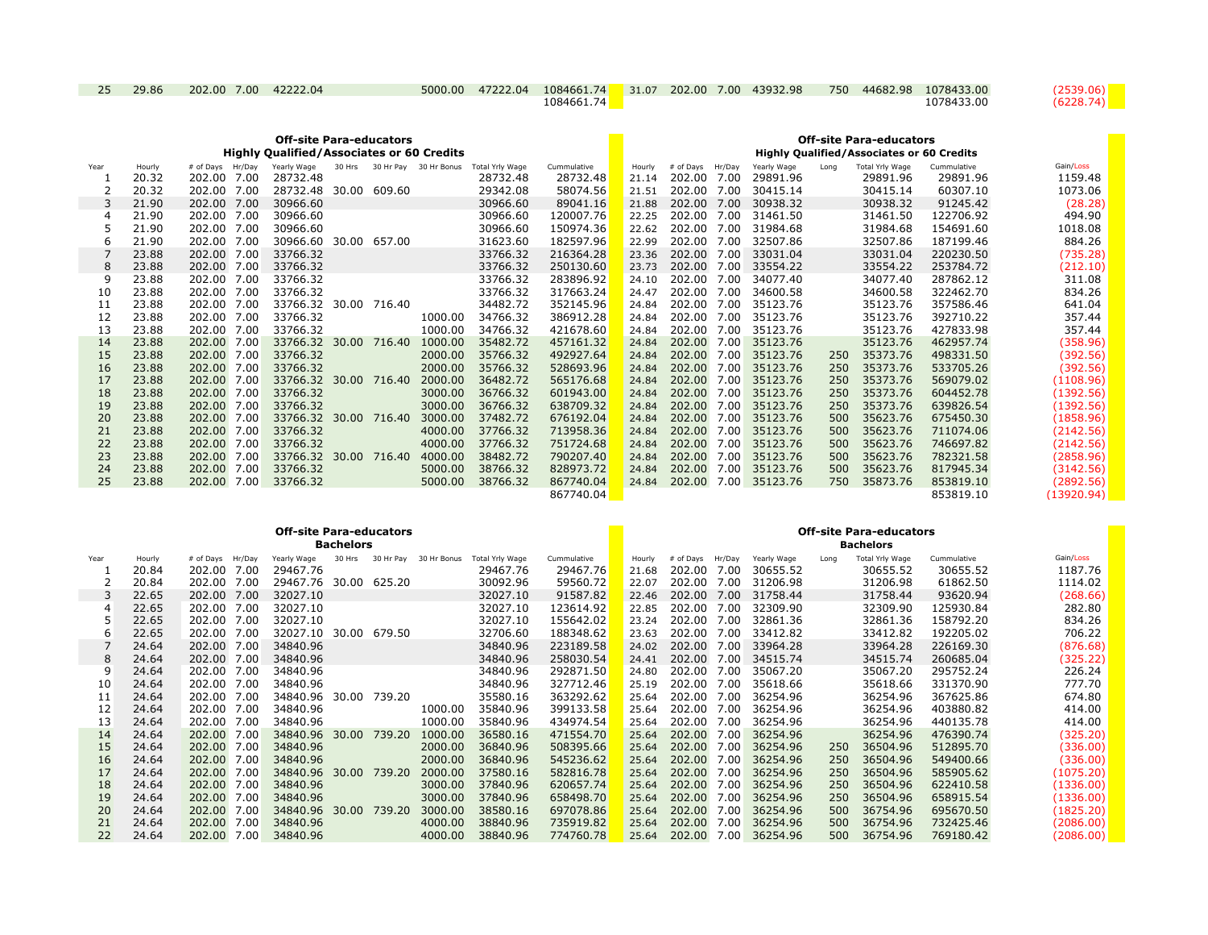| 25 | 29.86 | 202.00 7.00 42222.04 | 5000.00 | 47222.04 | 1084661.74 |  | $31.07$ 202.00 7.00 43932.98 | 750 44682.98 | 1078433.00 | (2539.06) |
|----|-------|----------------------|---------|----------|------------|--|------------------------------|--------------|------------|-----------|
|    |       |                      |         |          | 1084661.74 |  |                              |              | 1078433.00 | (6228.74) |

| <b>Off-site Para-educators</b><br><b>Highly Oualified/Associates or 60 Credits</b> |        |                  |                |       |        |                              |                 |             |        | <b>Off-site Para-educators</b><br><b>Highly Qualified/Associates or 60 Credits</b> |        |             |      |                 |             |            |
|------------------------------------------------------------------------------------|--------|------------------|----------------|-------|--------|------------------------------|-----------------|-------------|--------|------------------------------------------------------------------------------------|--------|-------------|------|-----------------|-------------|------------|
| Year                                                                               | Hourly | # of Days Hr/Day | Yearly Wage    |       |        | 30 Hrs 30 Hr Pay 30 Hr Bonus | Total Yrly Wage | Cummulative | Hourly | # of Davs                                                                          | Hr/Day | Yearly Wage | Long | Total Yrly Wage | Cummulative | Gain/Loss  |
|                                                                                    | 20.32  | 202.00<br>7.00   | 28732.48       |       |        |                              | 28732.48        | 28732.48    | 21.14  | 202.00                                                                             | 7.00   | 29891.96    |      | 29891.96        | 29891.96    | 1159.48    |
|                                                                                    | 20.32  | 202.00 7.00      | 28732.48 30.00 |       | 609.60 |                              | 29342.08        | 58074.56    | 21.51  | 202.00 7.00                                                                        |        | 30415.14    |      | 30415.14        | 60307.10    | 1073.06    |
| 3                                                                                  | 21.90  | 202.00 7.00      | 30966.60       |       |        |                              | 30966.60        | 89041.16    | 21.88  | 202.00                                                                             | 7.00   | 30938.32    |      | 30938.32        | 91245.42    | (28.28)    |
| 4                                                                                  | 21.90  | 202.00 7.00      | 30966.60       |       |        |                              | 30966.60        | 120007.76   | 22.25  | 202.00 7.00                                                                        |        | 31461.50    |      | 31461.50        | 122706.92   | 494.90     |
|                                                                                    | 21.90  | 202.00 7.00      | 30966.60       |       |        |                              | 30966.60        | 150974.36   | 22.62  | 202.00                                                                             | 7.00   | 31984.68    |      | 31984.68        | 154691.60   | 1018.08    |
| 6                                                                                  | 21.90  | 202.00 7.00      | 30966.60       | 30.00 | 657.00 |                              | 31623.60        | 182597.96   | 22.99  | 202.00                                                                             | 7.00   | 32507.86    |      | 32507.86        | 187199.46   | 884.26     |
|                                                                                    | 23.88  | 202.00 7.00      | 33766.32       |       |        |                              | 33766.32        | 216364.28   | 23.36  | 202.00                                                                             | 7.00   | 33031.04    |      | 33031.04        | 220230.50   | (735.28)   |
| 8                                                                                  | 23.88  | 202.00 7.00      | 33766.32       |       |        |                              | 33766.32        | 250130.60   | 23.73  | 202.00                                                                             | 7.00   | 33554.22    |      | 33554.22        | 253784.72   | (212.10)   |
| q                                                                                  | 23.88  | 202.00 7.00      | 33766.32       |       |        |                              | 33766.32        | 283896.92   | 24.10  | 202.00 7.00                                                                        |        | 34077.40    |      | 34077.40        | 287862.12   | 311.08     |
| 10                                                                                 | 23.88  | 202.00 7.00      | 33766.32       |       |        |                              | 33766.32        | 317663.24   | 24.47  | 202.00                                                                             | 7.00   | 34600.58    |      | 34600.58        | 322462.70   | 834.26     |
| 11                                                                                 | 23.88  | 202.00 7.00      | 33766.32 30.00 |       | 716.40 |                              | 34482.72        | 352145.96   | 24.84  | 202.00 7.00                                                                        |        | 35123.76    |      | 35123.76        | 357586.46   | 641.04     |
| 12                                                                                 | 23.88  | 202.00 7.00      | 33766.32       |       |        | 1000.00                      | 34766.32        | 386912.28   | 24.84  | 202.00                                                                             | 7.00   | 35123.76    |      | 35123.76        | 392710.22   | 357.44     |
| 13                                                                                 | 23.88  | 202.00 7.00      | 33766.32       |       |        | 1000.00                      | 34766.32        | 421678.60   | 24.84  | 202.00 7.00                                                                        |        | 35123.76    |      | 35123.76        | 427833.98   | 357.44     |
| 14                                                                                 | 23.88  | 202.00 7.00      | 33766.32 30.00 |       | 716.40 | 1000.00                      | 35482.72        | 457161.32   | 24.84  | 202.00                                                                             | 7.00   | 35123.76    |      | 35123.76        | 462957.74   | (358.96)   |
| 15                                                                                 | 23.88  | 202.00 7.00      | 33766.32       |       |        | 2000.00                      | 35766.32        | 492927.64   | 24.84  | 202.00 7.00                                                                        |        | 35123.76    | 250  | 35373.76        | 498331.50   | (392.56)   |
| 16                                                                                 | 23.88  | 202.00 7.00      | 33766.32       |       |        | 2000.00                      | 35766.32        | 528693.96   | 24.84  | 202.00                                                                             | 7.00   | 35123.76    | 250  | 35373.76        | 533705.26   | (392.56)   |
| 17                                                                                 | 23.88  | 202.00 7.00      | 33766.32 30.00 |       | 716.40 | 2000.00                      | 36482.72        | 565176.68   | 24.84  | 202.00                                                                             | 7.00   | 35123.76    | 250  | 35373.76        | 569079.02   | (1108.96)  |
| 18                                                                                 | 23.88  | 202.00 7.00      | 33766.32       |       |        | 3000.00                      | 36766.32        | 601943.00   | 24.84  | 202.00 7.00                                                                        |        | 35123.76    | 250  | 35373.76        | 604452.78   | (1392.56)  |
| 19                                                                                 | 23.88  | 202.00 7.00      | 33766.32       |       |        | 3000.00                      | 36766.32        | 638709.32   | 24.84  | 202.00                                                                             | 7.00   | 35123.76    | 250  | 35373.76        | 639826.54   | (1392.56)  |
| 20                                                                                 | 23.88  | 202.00 7.00      | 33766.32 30.00 |       | 716.40 | 3000.00                      | 37482.72        | 676192.04   | 24.84  | 202.00 7.00                                                                        |        | 35123.76    | 500  | 35623.76        | 675450.30   | (1858.96)  |
| 21                                                                                 | 23.88  | 202.00 7.00      | 33766.32       |       |        | 4000.00                      | 37766.32        | 713958.36   | 24.84  | 202.00                                                                             | 7.00   | 35123.76    | 500  | 35623.76        | 711074.06   | (2142.56)  |
| 22                                                                                 | 23.88  | 202.00 7.00      | 33766.32       |       |        | 4000.00                      | 37766.32        | 751724.68   | 24.84  | 202.00 7.00                                                                        |        | 35123.76    | 500  | 35623.76        | 746697.82   | (2142.56)  |
| 23                                                                                 | 23.88  | 202.00 7.00      | 33766.32       | 30.00 | 716.40 | 4000.00                      | 38482.72        | 790207.40   | 24.84  | 202.00                                                                             | 7.00   | 35123.76    | 500  | 35623.76        | 782321.58   | (2858.96)  |
| 24                                                                                 | 23.88  | 202.00 7.00      | 33766.32       |       |        | 5000.00                      | 38766.32        | 828973.72   | 24.84  | 202.00 7.00                                                                        |        | 35123.76    | 500  | 35623.76        | 817945.34   | (3142.56)  |
| 25                                                                                 | 23.88  | 202.00 7.00      | 33766.32       |       |        | 5000.00                      | 38766.32        | 867740.04   | 24.84  | 202.00                                                                             | 7.00   | 35123.76    | 750  | 35873.76        | 853819.10   | (2892.56)  |
|                                                                                    |        |                  |                |       |        |                              |                 | 867740.04   |        |                                                                                    |        |             |      |                 | 853819.10   | (13920.94) |

| <b>Off-site Para-educators</b><br><b>Bachelors</b> |        |                  |                       |        |        |                       |                 |             | <b>Off-site Para-educators</b><br><b>Bachelors</b> |                  |      |             |      |                 |             |           |
|----------------------------------------------------|--------|------------------|-----------------------|--------|--------|-----------------------|-----------------|-------------|----------------------------------------------------|------------------|------|-------------|------|-----------------|-------------|-----------|
| Year                                               | Hourly | # of Days Hr/Day | Yearly Wage           | 30 Hrs |        | 30 Hr Pay 30 Hr Bonus | Total Yrly Wage | Cummulative | Hourly                                             | # of Days Hr/Day |      | Yearly Wage | Long | Total Yrly Wage | Cummulative | Gain/Loss |
|                                                    | 20.84  | 202.00 7.00      | 29467.76              |        |        |                       | 29467.76        | 29467.76    | 21.68                                              | 202.00           | 7.00 | 30655.52    |      | 30655.52        | 30655.52    | 1187.76   |
|                                                    | 20.84  | 202.00 7.00      | 29467.76 30.00 625.20 |        |        |                       | 30092.96        | 59560.72    | 22.07                                              | 202.00 7.00      |      | 31206.98    |      | 31206.98        | 61862.50    | 1114.02   |
| 3                                                  | 22.65  | 202.00 7.00      | 32027.10              |        |        |                       | 32027.10        | 91587.82    | 22.46                                              | 202.00 7.00      |      | 31758.44    |      | 31758.44        | 93620.94    | (268.66)  |
| 4                                                  | 22.65  | 202.00 7.00      | 32027.10              |        |        |                       | 32027.10        | 123614.92   | 22.85                                              | 202.00 7.00      |      | 32309.90    |      | 32309.90        | 125930.84   | 282.80    |
|                                                    | 22.65  | 202.00 7.00      | 32027.10              |        |        |                       | 32027.10        | 155642.02   | 23.24                                              | 202.00 7.00      |      | 32861.36    |      | 32861.36        | 158792.20   | 834.26    |
| 6                                                  | 22.65  | 202.00 7.00      | 32027.10 30.00 679.50 |        |        |                       | 32706.60        | 188348.62   | 23.63                                              | 202.00 7.00      |      | 33412.82    |      | 33412.82        | 192205.02   | 706.22    |
|                                                    | 24.64  | 202.00 7.00      | 34840.96              |        |        |                       | 34840.96        | 223189.58   | 24.02                                              | 202.00 7.00      |      | 33964.28    |      | 33964.28        | 226169.30   | (876.68)  |
| 8                                                  | 24.64  | 202.00 7.00      | 34840.96              |        |        |                       | 34840.96        | 258030.54   | 24.41                                              | 202.00           | 7.00 | 34515.74    |      | 34515.74        | 260685.04   | (325.22)  |
| 9                                                  | 24.64  | 202.00 7.00      | 34840.96              |        |        |                       | 34840.96        | 292871.50   | 24.80                                              | 202.00           | 7.00 | 35067.20    |      | 35067.20        | 295752.24   | 226.24    |
| 10                                                 | 24.64  | 202.00 7.00      | 34840.96              |        |        |                       | 34840.96        | 327712.46   | 25.19                                              | 202.00 7.00      |      | 35618.66    |      | 35618.66        | 331370.90   | 777.70    |
| 11                                                 | 24.64  | 202.00 7.00      | 34840.96 30.00        |        | 739.20 |                       | 35580.16        | 363292.62   | 25.64                                              | 202.00           | 7.00 | 36254.96    |      | 36254.96        | 367625.86   | 674.80    |
| 12                                                 | 24.64  | 202.00 7.00      | 34840.96              |        |        | 1000.00               | 35840.96        | 399133.58   | 25.64                                              | 202.00           | 7.00 | 36254.96    |      | 36254.96        | 403880.82   | 414.00    |
| 13                                                 | 24.64  | 202.00 7.00      | 34840.96              |        |        | 1000.00               | 35840.96        | 434974.54   | 25.64                                              | 202.00           | 7.00 | 36254.96    |      | 36254.96        | 440135.78   | 414.00    |
| 14                                                 | 24.64  | 202.00 7.00      | 34840.96 30.00        |        | 739.20 | 1000.00               | 36580.16        | 471554.70   | 25.64                                              | 202.00           | 7.00 | 36254.96    |      | 36254.96        | 476390.74   | (325.20)  |
| 15                                                 | 24.64  | 202.00 7.00      | 34840.96              |        |        | 2000.00               | 36840.96        | 508395.66   | 25.64                                              | 202.00           | 7.00 | 36254.96    | 250  | 36504.96        | 512895.70   | (336.00)  |
| 16                                                 | 24.64  | 202.00 7.00      | 34840.96              |        |        | 2000.00               | 36840.96        | 545236.62   | 25.64                                              | 202.00           | 7.00 | 36254.96    | 250  | 36504.96        | 549400.66   | (336.00)  |
| 17                                                 | 24.64  | 202.00 7.00      | 34840.96 30.00        |        | 739.20 | 2000.00               | 37580.16        | 582816.78   | 25.64                                              | 202.00           | 7.00 | 36254.96    | 250  | 36504.96        | 585905.62   | (1075.20) |
| 18                                                 | 24.64  | 202.00 7.00      | 34840.96              |        |        | 3000.00               | 37840.96        | 620657.74   | 25.64                                              | 202.00           | 7.00 | 36254.96    | 250  | 36504.96        | 622410.58   | (1336.00) |
| 19                                                 | 24.64  | 202.00 7.00      | 34840.96              |        |        | 3000.00               | 37840.96        | 658498.70   | 25.64                                              | 202.00           | 7.00 | 36254.96    | 250  | 36504.96        | 658915.54   | (1336.00) |
| 20                                                 | 24.64  | 202.00 7.00      | 34840.96 30.00        |        | 739.20 | 3000.00               | 38580.16        | 697078.86   | 25.64                                              | 202.00           | 7.00 | 36254.96    | 500  | 36754.96        | 695670.50   | (1825.20) |
| 21                                                 | 24.64  | 202.00 7.00      | 34840.96              |        |        | 4000.00               | 38840.96        | 735919.82   | 25.64                                              | 202.00           | 7.00 | 36254.96    | 500  | 36754.96        | 732425.46   | (2086.00) |
| 22                                                 | 24.64  | 202.00 7.00      | 34840.96              |        |        | 4000.00               | 38840.96        | 774760.78   | 25.64                                              | 202.00           | 7.00 | 36254.96    | 500  | 36754.96        | 769180.42   | (2086.00) |